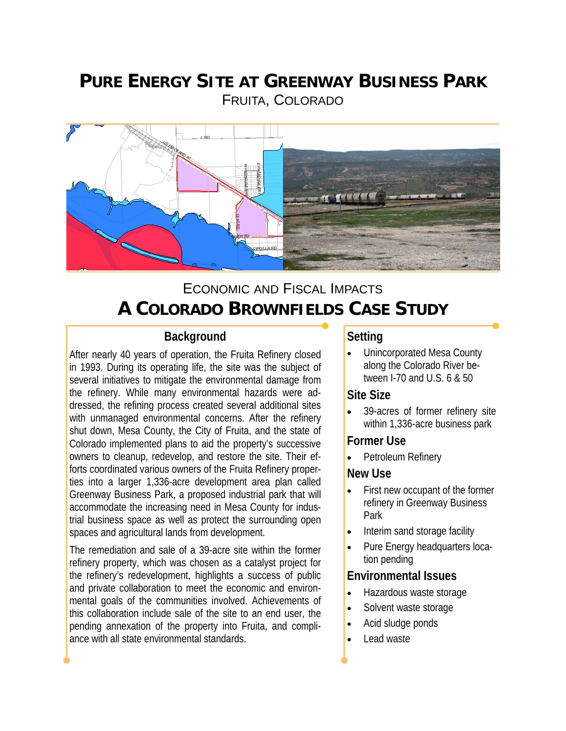# **PURE ENERGY SITE AT GREENWAY BUSINESS PARK** FRUITA, COLORADO



# ECONOMIC AND FISCAL IMPACTS **A COLORADO BROWNFIELDS CASE STUDY**

## **Background**

After nearly 40 years of operation, the Fruita Refinery closed in 1993. During its operating life, the site was the subject of several initiatives to mitigate the environmental damage from the refinery. While many environmental hazards were addressed, the refining process created several additional sites with unmanaged environmental concerns. After the refinery shut down, Mesa County, the City of Fruita, and the state of Colorado implemented plans to aid the property's successive owners to cleanup, redevelop, and restore the site. Their efforts coordinated various owners of the Fruita Refinery properties into a larger 1,336-acre development area plan called Greenway Business Park, a proposed industrial park that will accommodate the increasing need in Mesa County for industrial business space as well as protect the surrounding open spaces and agricultural lands from development.

The remediation and sale of a 39-acre site within the former refinery property, which was chosen as a catalyst project for the refinery's redevelopment, highlights a success of public and private collaboration to meet the economic and environmental goals of the communities involved. Achievements of this collaboration include sale of the site to an end user, the pending annexation of the property into Fruita, and compliance with all state environmental standards.

## **Setting**

• Unincorporated Mesa County along the Colorado River between I-70 and U.S. 6 & 50

### **Site Size**

• 39-acres of former refinery site within 1,336-acre business park

### **Former Use**

Petroleum Refinery

### **New Use**

- First new occupant of the former refinery in Greenway Business Park
- Interim sand storage facility
- Pure Energy headquarters location pending

### **Environmental Issues**

- Hazardous waste storage
- Solvent waste storage
- Acid sludge ponds
- Lead waste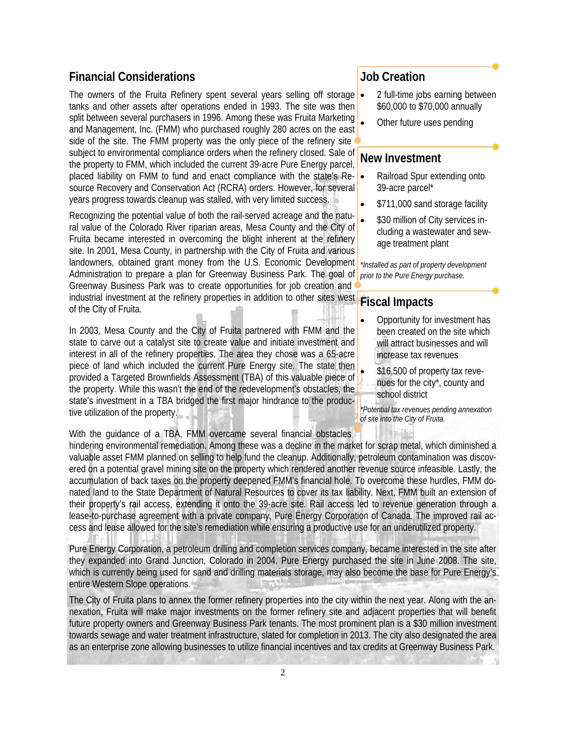# **Financial Considerations**

The owners of the Fruita Refinery spent several years selling off storage tanks and other assets after operations ended in 1993. The site was then split between several purchasers in 1996. Among these was Fruita Marketing and Management, Inc. (FMM) who purchased roughly 280 acres on the east side of the site. The FMM property was the only piece of the refinery site subject to environmental compliance orders when the refinery closed. Sale of the property to FMM, which included the current 39-acre Pure Energy parcel, placed liability on FMM to fund and enact compliance with the state's Resource Recovery and Conservation Act (RCRA) orders. However, for several years progress towards cleanup was stalled, with very limited success.

Recognizing the potential value of both the rail-served acreage and the natural value of the Colorado River riparian areas, Mesa County and the City of Fruita became interested in overcoming the blight inherent at the refinery site. In 2001, Mesa County, in partnership with the City of Fruita and various landowners, obtained grant money from the U.S. Economic Development Administration to prepare a plan for Greenway Business Park. The goal of Greenway Business Park was to create opportunities for job creation and industrial investment at the refinery properties in addition to other sites west of the City of Fruita.

In 2003, Mesa County and the City of Fruita partnered with FMM and the state to carve out a catalyst site to create value and initiate investment and interest in all of the refinery properties. The area they chose was a 65-acre piece of land which included the current Pure Energy site. The state then provided a Targeted Brownfields Assessment (TBA) of this valuable piece of the property. While this wasn't the end of the redevelopment's obstacles, the state's investment in a TBA bridged the first major hindrance to the productive utilization of the property.

With the guidance of a TBA, FMM overcame several financial obstacles

## **Job Creation**

- 2 full-time jobs earning between \$60,000 to \$70,000 annually
- Other future uses pending

### **New Investment**

- Railroad Spur extending onto 39-acre parcel\*
- \$711,000 sand storage facility
- \$30 million of City services including a wastewater and sewage treatment plant

*\*Installed as part of property development prior to the Pure Energy purchase.* 

### **Fiscal Impacts**

- Opportunity for investment has been created on the site which will attract businesses and will increase tax revenues
- \$16,500 of property tax revenues for the city\*, county and school district

*\*Potential tax revenues pending annexation of site into the City of Fruita.* 

hindering environmental remediation. Among these was a decline in the market for scrap metal, which diminished a valuable asset FMM planned on selling to help fund the cleanup. Additionally, petroleum contamination was discovered on a potential gravel mining site on the property which rendered another revenue source infeasible. Lastly, the accumulation of back taxes on the property deepened FMM's financial hole. To overcome these hurdles, FMM donated land to the State Department of Natural Resources to cover its tax liability. Next, FMM built an extension of their property's rail access, extending it onto the 39-acre site. Rail access led to revenue generation through a lease-to-purchase agreement with a private company, Pure Energy Corporation of Canada. The improved rail access and lease allowed for the site's remediation while ensuring a productive use for an underutilized property.

Pure Energy Corporation, a petroleum drilling and completion services company, became interested in the site after they expanded into Grand Junction, Colorado in 2004. Pure Energy purchased the site in June 2008. The site, which is currently being used for sand and drilling materials storage, may also become the base for Pure Energy's entire Western Slope operations.

The City of Fruita plans to annex the former refinery properties into the city within the next year. Along with the annexation, Fruita will make major investments on the former refinery site and adjacent properties that will benefit future property owners and Greenway Business Park tenants. The most prominent plan is a \$30 million investment towards sewage and water treatment infrastructure, slated for completion in 2013. The city also designated the area as an enterprise zone allowing businesses to utilize financial incentives and tax credits at Greenway Business Park.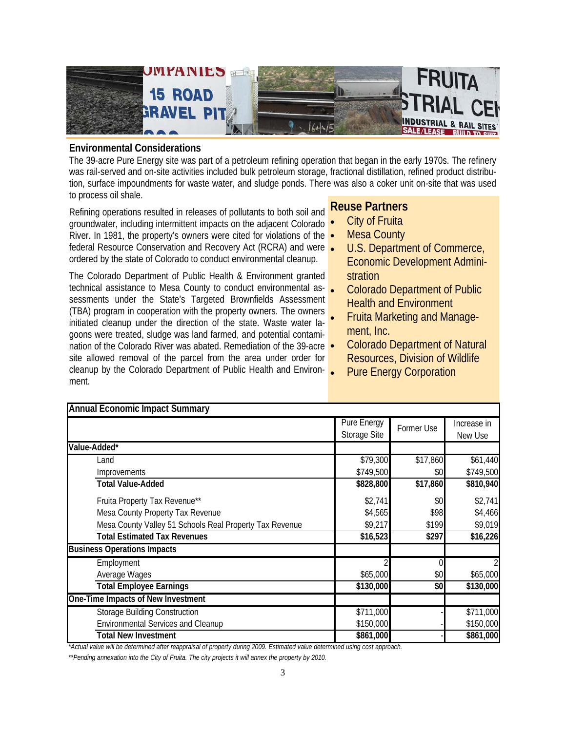

#### **Environmental Considerations**

The 39-acre Pure Energy site was part of a petroleum refining operation that began in the early 1970s. The refinery was rail-served and on-site activities included bulk petroleum storage, fractional distillation, refined product distribution, surface impoundments for waste water, and sludge ponds. There was also a coker unit on-site that was used to process oil shale.

Refining operations resulted in releases of pollutants to both soil and groundwater, including intermittent impacts on the adjacent Colorado . River. In 1981, the property's owners were cited for violations of the  $\bullet$ federal Resource Conservation and Recovery Act (RCRA) and were . ordered by the state of Colorado to conduct environmental cleanup.

The Colorado Department of Public Health & Environment granted technical assistance to Mesa County to conduct environmental assessments under the State's Targeted Brownfields Assessment (TBA) program in cooperation with the property owners. The owners initiated cleanup under the direction of the state. Waste water lagoons were treated, sludge was land farmed, and potential contamination of the Colorado River was abated. Remediation of the 39-acre  $\bullet$ site allowed removal of the parcel from the area under order for cleanup by the Colorado Department of Public Health and Environment.

### **Reuse Partners**

- City of Fruita
- **Mesa County**
- U.S. Department of Commerce, Economic Development Administration
- Colorado Department of Public Health and Environment
- Fruita Marketing and Management, Inc.
- Colorado Department of Natural Resources, Division of Wildlife
- **Pure Energy Corporation**

| <b>Annual Economic Impact Summary</b>                   |                             |            |                        |
|---------------------------------------------------------|-----------------------------|------------|------------------------|
|                                                         | Pure Energy<br>Storage Site | Former Use | Increase in<br>New Use |
| Value-Added*                                            |                             |            |                        |
| Land                                                    | \$79,300                    | \$17,860   | \$61,440               |
| Improvements                                            | \$749,500                   | \$0        | \$749,500              |
| <b>Total Value-Added</b>                                | \$828,800                   | \$17,860   | \$810,940              |
| Fruita Property Tax Revenue**                           | \$2,741                     | \$0        | \$2,741                |
| Mesa County Property Tax Revenue                        | \$4,565                     | \$98       | \$4,466                |
| Mesa County Valley 51 Schools Real Property Tax Revenue | \$9,217                     | \$199      | \$9,019                |
| <b>Total Estimated Tax Revenues</b>                     | \$16,523                    | \$297      | \$16,226               |
| <b>Business Operations Impacts</b>                      |                             |            |                        |
| Employment                                              |                             | $\Omega$   |                        |
| Average Wages                                           | \$65,000                    | \$0        | \$65,000               |
| <b>Total Employee Earnings</b>                          | \$130,000                   | \$0        | \$130,000              |
| One-Time Impacts of New Investment                      |                             |            |                        |
| <b>Storage Building Construction</b>                    | \$711,000                   |            | \$711,000              |
| <b>Environmental Services and Cleanup</b>               | \$150,000                   |            | \$150,000              |
| <b>Total New Investment</b>                             | \$861,000                   |            | \$861,000              |

*\*Actual value will be determined after reappraisal of property during 2009. Estimated value determined using cost approach.*

*\*\*Pending annexation into the City of Fruita. The city projects it will annex the property by 2010.*